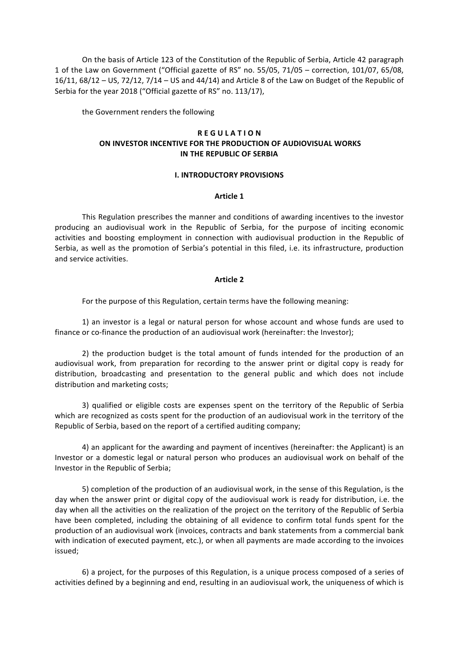On the basis of Article 123 of the Constitution of the Republic of Serbia, Article 42 paragraph 1 of the Law on Government ("Official gazette of RS" no. 55/05, 71/05 - correction, 101/07, 65/08,  $16/11$ ,  $68/12 - US$ ,  $72/12$ ,  $7/14 - US$  and  $44/14$ ) and Article 8 of the Law on Budget of the Republic of Serbia for the year 2018 ("Official gazette of RS" no. 113/17),

the Government renders the following

# **REGULATION ON INVESTOR INCENTIVE FOR THE PRODUCTION OF AUDIOVISUAL WORKS IN THE REPUBLIC OF SERBIA**

## **I. INTRODUCTORY PROVISIONS**

## **Article 1**

This Regulation prescribes the manner and conditions of awarding incentives to the investor producing an audiovisual work in the Republic of Serbia, for the purpose of inciting economic activities and boosting employment in connection with audiovisual production in the Republic of Serbia, as well as the promotion of Serbia's potential in this filed, i.e. its infrastructure, production and service activities.

## **Article 2**

For the purpose of this Regulation, certain terms have the following meaning:

1) an investor is a legal or natural person for whose account and whose funds are used to finance or co-finance the production of an audiovisual work (hereinafter: the Investor);

2) the production budget is the total amount of funds intended for the production of an audiovisual work, from preparation for recording to the answer print or digital copy is ready for distribution, broadcasting and presentation to the general public and which does not include distribution and marketing costs;

3) qualified or eligible costs are expenses spent on the territory of the Republic of Serbia which are recognized as costs spent for the production of an audiovisual work in the territory of the Republic of Serbia, based on the report of a certified auditing company;

4) an applicant for the awarding and payment of incentives (hereinafter: the Applicant) is an Investor or a domestic legal or natural person who produces an audiovisual work on behalf of the Investor in the Republic of Serbia;

5) completion of the production of an audiovisual work, in the sense of this Regulation, is the day when the answer print or digital copy of the audiovisual work is ready for distribution, i.e. the day when all the activities on the realization of the project on the territory of the Republic of Serbia have been completed, including the obtaining of all evidence to confirm total funds spent for the production of an audiovisual work (invoices, contracts and bank statements from a commercial bank with indication of executed payment, etc.), or when all payments are made according to the invoices issued;

6) a project, for the purposes of this Regulation, is a unique process composed of a series of activities defined by a beginning and end, resulting in an audiovisual work, the uniqueness of which is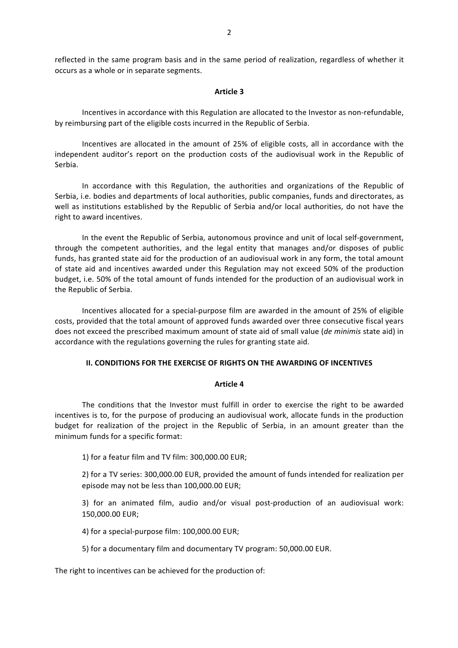reflected in the same program basis and in the same period of realization, regardless of whether it occurs as a whole or in separate segments.

## **Article 3**

Incentives in accordance with this Regulation are allocated to the Investor as non-refundable, by reimbursing part of the eligible costs incurred in the Republic of Serbia.

Incentives are allocated in the amount of 25% of eligible costs, all in accordance with the independent auditor's report on the production costs of the audiovisual work in the Republic of Serbia.

In accordance with this Regulation, the authorities and organizations of the Republic of Serbia, i.e. bodies and departments of local authorities, public companies, funds and directorates, as well as institutions established by the Republic of Serbia and/or local authorities, do not have the right to award incentives.

In the event the Republic of Serbia, autonomous province and unit of local self-government, through the competent authorities, and the legal entity that manages and/or disposes of public funds, has granted state aid for the production of an audiovisual work in any form, the total amount of state aid and incentives awarded under this Regulation may not exceed 50% of the production budget, i.e. 50% of the total amount of funds intended for the production of an audiovisual work in the Republic of Serbia.

Incentives allocated for a special-purpose film are awarded in the amount of 25% of eligible costs, provided that the total amount of approved funds awarded over three consecutive fiscal years does not exceed the prescribed maximum amount of state aid of small value (*de minimis* state aid) in accordance with the regulations governing the rules for granting state aid.

## **II. CONDITIONS FOR THE EXERCISE OF RIGHTS ON THE AWARDING OF INCENTIVES**

## **Article 4**

The conditions that the Investor must fulfill in order to exercise the right to be awarded incentives is to, for the purpose of producing an audiovisual work, allocate funds in the production budget for realization of the project in the Republic of Serbia, in an amount greater than the minimum funds for a specific format:

1) for a featur film and TV film: 300,000.00 EUR;

2) for a TV series: 300,000.00 EUR, provided the amount of funds intended for realization per episode may not be less than 100,000.00 EUR;

3) for an animated film, audio and/or visual post-production of an audiovisual work: 150,000.00 EUR;

4) for a special-purpose film: 100,000.00 EUR;

5) for a documentary film and documentary TV program: 50,000.00 EUR.

The right to incentives can be achieved for the production of: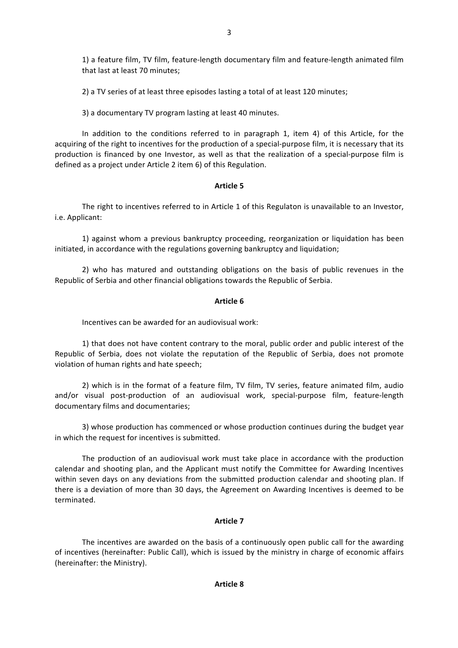1) a feature film, TV film, feature-length documentary film and feature-length animated film that last at least 70 minutes;

2) a TV series of at least three episodes lasting a total of at least 120 minutes;

3) a documentary TV program lasting at least 40 minutes.

In addition to the conditions referred to in paragraph 1, item 4) of this Article, for the acquiring of the right to incentives for the production of a special-purpose film, it is necessary that its production is financed by one Investor, as well as that the realization of a special-purpose film is defined as a project under Article 2 item 6) of this Regulation.

# **Article 5**

The right to incentives referred to in Article 1 of this Regulaton is unavailable to an Investor, i.e. Applicant:

1) against whom a previous bankruptcy proceeding, reorganization or liquidation has been initiated, in accordance with the regulations governing bankruptcy and liquidation;

2) who has matured and outstanding obligations on the basis of public revenues in the Republic of Serbia and other financial obligations towards the Republic of Serbia.

# **Article 6**

Incentives can be awarded for an audiovisual work:

1) that does not have content contrary to the moral, public order and public interest of the Republic of Serbia, does not violate the reputation of the Republic of Serbia, does not promote violation of human rights and hate speech;

2) which is in the format of a feature film, TV film, TV series, feature animated film, audio and/or visual post-production of an audiovisual work, special-purpose film, feature-length documentary films and documentaries;

3) whose production has commenced or whose production continues during the budget year in which the request for incentives is submitted.

The production of an audiovisual work must take place in accordance with the production calendar and shooting plan, and the Applicant must notify the Committee for Awarding Incentives within seven days on any deviations from the submitted production calendar and shooting plan. If there is a deviation of more than 30 days, the Agreement on Awarding Incentives is deemed to be terminated.

# **Article 7**

The incentives are awarded on the basis of a continuously open public call for the awarding of incentives (hereinafter: Public Call), which is issued by the ministry in charge of economic affairs (hereinafter: the Ministry).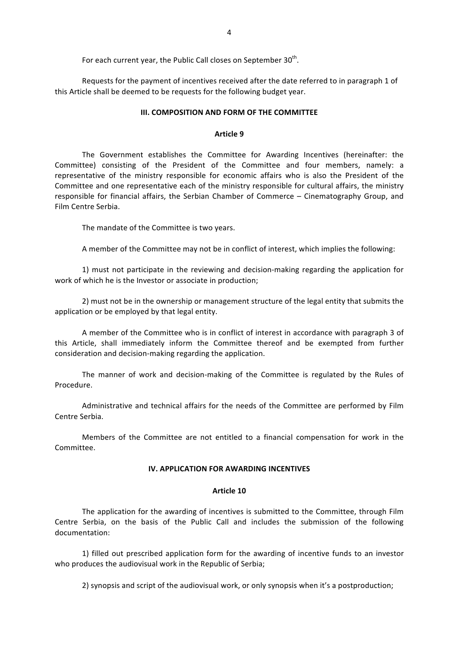For each current year, the Public Call closes on September 30<sup>th</sup>.

Requests for the payment of incentives received after the date referred to in paragraph 1 of this Article shall be deemed to be requests for the following budget vear.

#### **III. COMPOSITION AND FORM OF THE COMMITTEE**

#### **Article 9**

The Government establishes the Committee for Awarding Incentives (hereinafter: the Committee) consisting of the President of the Committee and four members, namely: a representative of the ministry responsible for economic affairs who is also the President of the Committee and one representative each of the ministry responsible for cultural affairs, the ministry responsible for financial affairs, the Serbian Chamber of Commerce – Cinematography Group, and Film Centre Serbia.

The mandate of the Committee is two years.

A member of the Committee may not be in conflict of interest, which implies the following:

1) must not participate in the reviewing and decision-making regarding the application for work of which he is the Investor or associate in production;

2) must not be in the ownership or management structure of the legal entity that submits the application or be employed by that legal entity.

A member of the Committee who is in conflict of interest in accordance with paragraph 3 of this Article, shall immediately inform the Committee thereof and be exempted from further consideration and decision-making regarding the application.

The manner of work and decision-making of the Committee is regulated by the Rules of Procedure.

Administrative and technical affairs for the needs of the Committee are performed by Film Centre Serbia.

Members of the Committee are not entitled to a financial compensation for work in the Committee.

## **IV. APPLICATION FOR AWARDING INCENTIVES**

#### **Article 10**

The application for the awarding of incentives is submitted to the Committee, through Film Centre Serbia, on the basis of the Public Call and includes the submission of the following documentation:

1) filled out prescribed application form for the awarding of incentive funds to an investor who produces the audiovisual work in the Republic of Serbia;

2) synopsis and script of the audiovisual work, or only synopsis when it's a postproduction;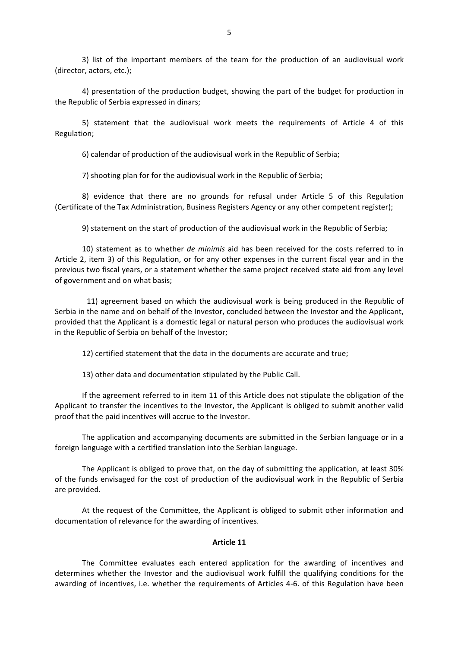3) list of the important members of the team for the production of an audiovisual work (director, actors, etc.);

4) presentation of the production budget, showing the part of the budget for production in the Republic of Serbia expressed in dinars;

5) statement that the audiovisual work meets the requirements of Article 4 of this Regulation;

6) calendar of production of the audiovisual work in the Republic of Serbia;

7) shooting plan for for the audiovisual work in the Republic of Serbia;

8) evidence that there are no grounds for refusal under Article 5 of this Regulation (Certificate of the Tax Administration, Business Registers Agency or any other competent register);

9) statement on the start of production of the audiovisual work in the Republic of Serbia;

10) statement as to whether *de minimis* aid has been received for the costs referred to in Article 2, item 3) of this Regulation, or for any other expenses in the current fiscal year and in the previous two fiscal years, or a statement whether the same project received state aid from any level of government and on what basis;

11) agreement based on which the audiovisual work is being produced in the Republic of Serbia in the name and on behalf of the Investor, concluded between the Investor and the Applicant, provided that the Applicant is a domestic legal or natural person who produces the audiovisual work in the Republic of Serbia on behalf of the Investor;

12) certified statement that the data in the documents are accurate and true;

13) other data and documentation stipulated by the Public Call.

If the agreement referred to in item 11 of this Article does not stipulate the obligation of the Applicant to transfer the incentives to the Investor, the Applicant is obliged to submit another valid proof that the paid incentives will accrue to the Investor.

The application and accompanying documents are submitted in the Serbian language or in a foreign language with a certified translation into the Serbian language.

The Applicant is obliged to prove that, on the day of submitting the application, at least 30% of the funds envisaged for the cost of production of the audiovisual work in the Republic of Serbia are provided.

At the request of the Committee, the Applicant is obliged to submit other information and documentation of relevance for the awarding of incentives.

## **Article 11**

The Committee evaluates each entered application for the awarding of incentives and determines whether the Investor and the audiovisual work fulfill the qualifying conditions for the awarding of incentives, i.e. whether the requirements of Articles 4-6. of this Regulation have been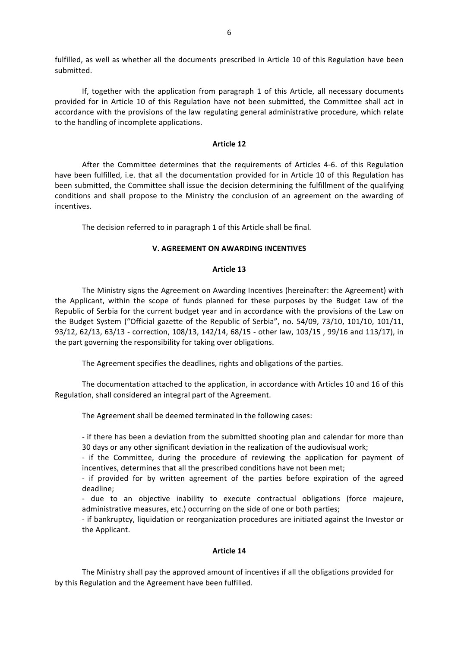fulfilled, as well as whether all the documents prescribed in Article 10 of this Regulation have been submitted.

If, together with the application from paragraph 1 of this Article, all necessary documents provided for in Article 10 of this Regulation have not been submitted, the Committee shall act in accordance with the provisions of the law regulating general administrative procedure, which relate to the handling of incomplete applications.

## **Article 12**

After the Committee determines that the requirements of Articles 4-6. of this Regulation have been fulfilled, i.e. that all the documentation provided for in Article 10 of this Regulation has been submitted, the Committee shall issue the decision determining the fulfillment of the qualifying conditions and shall propose to the Ministry the conclusion of an agreement on the awarding of incentives.

The decision referred to in paragraph 1 of this Article shall be final.

## **V. AGREEMENT ON AWARDING INCENTIVES**

## **Article 13**

The Ministry signs the Agreement on Awarding Incentives (hereinafter: the Agreement) with the Applicant, within the scope of funds planned for these purposes by the Budget Law of the Republic of Serbia for the current budget year and in accordance with the provisions of the Law on the Budget System ("Official gazette of the Republic of Serbia", no.  $54/09$ ,  $73/10$ ,  $101/10$ ,  $101/11$ , 93/12, 62/13, 63/13 - correction, 108/13, 142/14, 68/15 - other law, 103/15, 99/16 and 113/17), in the part governing the responsibility for taking over obligations.

The Agreement specifies the deadlines, rights and obligations of the parties.

The documentation attached to the application, in accordance with Articles 10 and 16 of this Regulation, shall considered an integral part of the Agreement.

The Agreement shall be deemed terminated in the following cases:

- if there has been a deviation from the submitted shooting plan and calendar for more than 30 days or any other significant deviation in the realization of the audiovisual work;

- if the Committee, during the procedure of reviewing the application for payment of incentives, determines that all the prescribed conditions have not been met:

- if provided for by written agreement of the parties before expiration of the agreed deadline;

- due to an objective inability to execute contractual obligations (force majeure, administrative measures, etc.) occurring on the side of one or both parties;

- if bankruptcy, liquidation or reorganization procedures are initiated against the Investor or the Applicant.

# **Article 14**

The Ministry shall pay the approved amount of incentives if all the obligations provided for by this Regulation and the Agreement have been fulfilled.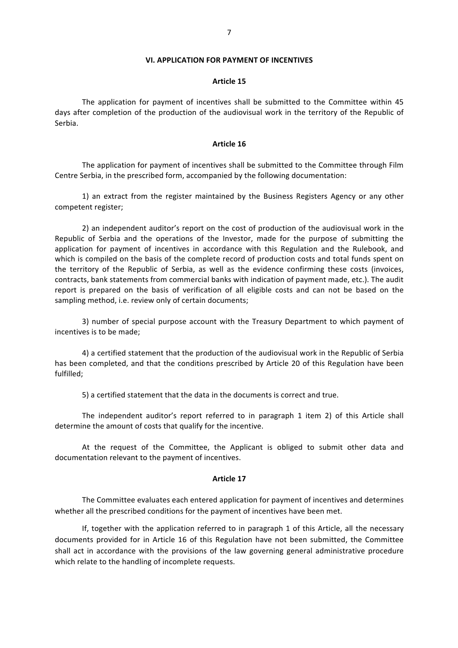#### **VI. APPLICATION FOR PAYMENT OF INCENTIVES**

## **Article 15**

The application for payment of incentives shall be submitted to the Committee within 45 days after completion of the production of the audiovisual work in the territory of the Republic of Serbia.

#### **Article 16**

The application for payment of incentives shall be submitted to the Committee through Film Centre Serbia, in the prescribed form, accompanied by the following documentation:

1) an extract from the register maintained by the Business Registers Agency or any other competent register:

2) an independent auditor's report on the cost of production of the audiovisual work in the Republic of Serbia and the operations of the Investor, made for the purpose of submitting the application for payment of incentives in accordance with this Regulation and the Rulebook, and which is compiled on the basis of the complete record of production costs and total funds spent on the territory of the Republic of Serbia, as well as the evidence confirming these costs (invoices, contracts, bank statements from commercial banks with indication of payment made, etc.). The audit report is prepared on the basis of verification of all eligible costs and can not be based on the sampling method, i.e. review only of certain documents;

3) number of special purpose account with the Treasury Department to which payment of incentives is to be made;

4) a certified statement that the production of the audiovisual work in the Republic of Serbia has been completed, and that the conditions prescribed by Article 20 of this Regulation have been fulfilled;

5) a certified statement that the data in the documents is correct and true.

The independent auditor's report referred to in paragraph 1 item 2) of this Article shall determine the amount of costs that qualify for the incentive.

At the request of the Committee, the Applicant is obliged to submit other data and documentation relevant to the payment of incentives.

#### **Article 17**

The Committee evaluates each entered application for payment of incentives and determines whether all the prescribed conditions for the payment of incentives have been met.

If, together with the application referred to in paragraph 1 of this Article, all the necessary documents provided for in Article 16 of this Regulation have not been submitted, the Committee shall act in accordance with the provisions of the law governing general administrative procedure which relate to the handling of incomplete requests.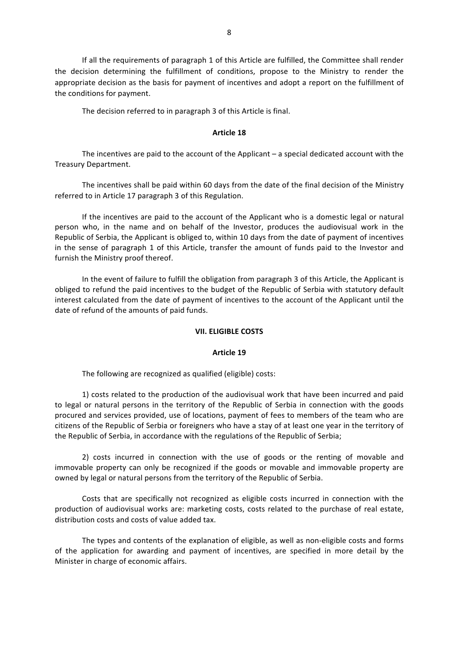If all the requirements of paragraph 1 of this Article are fulfilled, the Committee shall render the decision determining the fulfillment of conditions, propose to the Ministry to render the appropriate decision as the basis for payment of incentives and adopt a report on the fulfillment of the conditions for payment.

The decision referred to in paragraph 3 of this Article is final.

## **Article 18**

The incentives are paid to the account of the Applicant  $-$  a special dedicated account with the Treasury Department.

The incentives shall be paid within 60 days from the date of the final decision of the Ministry referred to in Article 17 paragraph 3 of this Regulation.

If the incentives are paid to the account of the Applicant who is a domestic legal or natural person who, in the name and on behalf of the Investor, produces the audiovisual work in the Republic of Serbia, the Applicant is obliged to, within 10 days from the date of payment of incentives in the sense of paragraph 1 of this Article, transfer the amount of funds paid to the Investor and furnish the Ministry proof thereof.

In the event of failure to fulfill the obligation from paragraph 3 of this Article, the Applicant is obliged to refund the paid incentives to the budget of the Republic of Serbia with statutory default interest calculated from the date of payment of incentives to the account of the Applicant until the date of refund of the amounts of paid funds.

# **VII. ELIGIBLE COSTS**

## **Article 19**

The following are recognized as qualified (eligible) costs:

1) costs related to the production of the audiovisual work that have been incurred and paid to legal or natural persons in the territory of the Republic of Serbia in connection with the goods procured and services provided, use of locations, payment of fees to members of the team who are citizens of the Republic of Serbia or foreigners who have a stay of at least one year in the territory of the Republic of Serbia, in accordance with the regulations of the Republic of Serbia;

2) costs incurred in connection with the use of goods or the renting of movable and immovable property can only be recognized if the goods or movable and immovable property are owned by legal or natural persons from the territory of the Republic of Serbia.

Costs that are specifically not recognized as eligible costs incurred in connection with the production of audiovisual works are: marketing costs, costs related to the purchase of real estate, distribution costs and costs of value added tax.

The types and contents of the explanation of eligible, as well as non-eligible costs and forms of the application for awarding and payment of incentives, are specified in more detail by the Minister in charge of economic affairs.